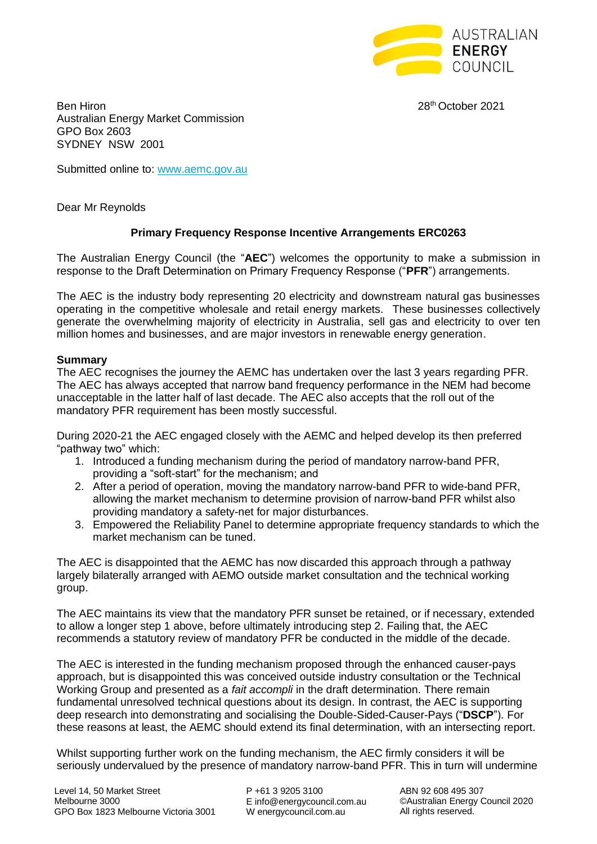

28<sup>th</sup> October 2021

Ben Hiron 28 Australian Energy Market Commission GPO Box 2603 SYDNEY NSW 2001

Submitted online to: [www.aemc.gov.au](http://www.aemc.gov.au/)

Dear Mr Reynolds

# **Primary Frequency Response Incentive Arrangements ERC0263**

The Australian Energy Council (the "**AEC**") welcomes the opportunity to make a submission in response to the Draft Determination on Primary Frequency Response ("**PFR**") arrangements.

The AEC is the industry body representing 20 electricity and downstream natural gas businesses operating in the competitive wholesale and retail energy markets. These businesses collectively generate the overwhelming majority of electricity in Australia, sell gas and electricity to over ten million homes and businesses, and are major investors in renewable energy generation.

### **Summary**

The AEC recognises the journey the AEMC has undertaken over the last 3 years regarding PFR. The AEC has always accepted that narrow band frequency performance in the NEM had become unacceptable in the latter half of last decade. The AEC also accepts that the roll out of the mandatory PFR requirement has been mostly successful.

During 2020-21 the AEC engaged closely with the AEMC and helped develop its then preferred "pathway two" which:

- 1. Introduced a funding mechanism during the period of mandatory narrow-band PFR, providing a "soft-start" for the mechanism; and
- 2. After a period of operation, moving the mandatory narrow-band PFR to wide-band PFR, allowing the market mechanism to determine provision of narrow-band PFR whilst also providing mandatory a safety-net for major disturbances.
- 3. Empowered the Reliability Panel to determine appropriate frequency standards to which the market mechanism can be tuned.

The AEC is disappointed that the AEMC has now discarded this approach through a pathway largely bilaterally arranged with AEMO outside market consultation and the technical working group.

The AEC maintains its view that the mandatory PFR sunset be retained, or if necessary, extended to allow a longer step 1 above, before ultimately introducing step 2. Failing that, the AEC recommends a statutory review of mandatory PFR be conducted in the middle of the decade.

The AEC is interested in the funding mechanism proposed through the enhanced causer-pays approach, but is disappointed this was conceived outside industry consultation or the Technical Working Group and presented as a *fait accompli* in the draft determination. There remain fundamental unresolved technical questions about its design. In contrast, the AEC is supporting deep research into demonstrating and socialising the Double-Sided-Causer-Pays ("**DSCP**"). For these reasons at least, the AEMC should extend its final determination, with an intersecting report.

Whilst supporting further work on the funding mechanism, the AEC firmly considers it will be seriously undervalued by the presence of mandatory narrow-band PFR. This in turn will undermine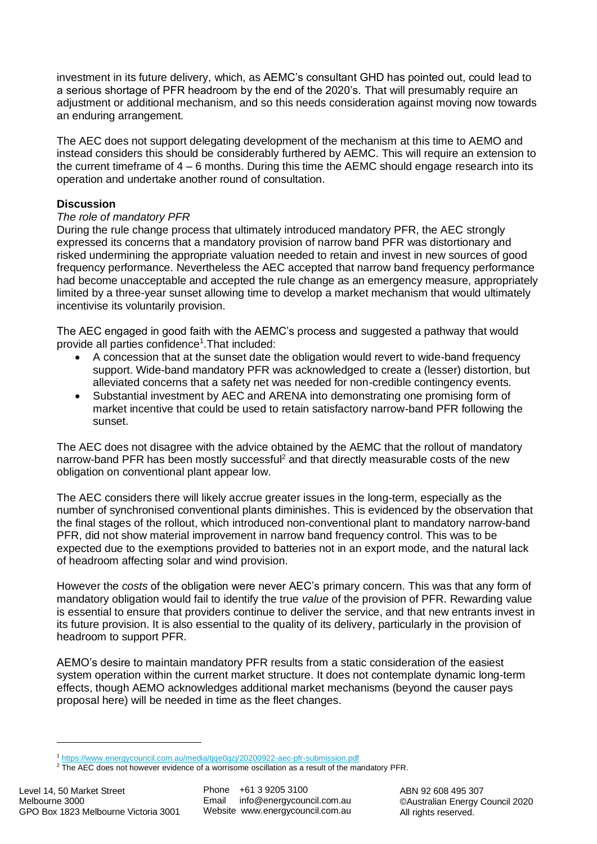investment in its future delivery, which, as AEMC's consultant GHD has pointed out, could lead to a serious shortage of PFR headroom by the end of the 2020's. That will presumably require an adjustment or additional mechanism, and so this needs consideration against moving now towards an enduring arrangement.

The AEC does not support delegating development of the mechanism at this time to AEMO and instead considers this should be considerably furthered by AEMC. This will require an extension to the current timeframe of  $4 - 6$  months. During this time the AEMC should engage research into its operation and undertake another round of consultation.

## **Discussion**

### *The role of mandatory PFR*

During the rule change process that ultimately introduced mandatory PFR, the AEC strongly expressed its concerns that a mandatory provision of narrow band PFR was distortionary and risked undermining the appropriate valuation needed to retain and invest in new sources of good frequency performance. Nevertheless the AEC accepted that narrow band frequency performance had become unacceptable and accepted the rule change as an emergency measure, appropriately limited by a three-year sunset allowing time to develop a market mechanism that would ultimately incentivise its voluntarily provision.

The AEC engaged in good faith with the AEMC's process and suggested a pathway that would provide all parties confidence<sup>1</sup>. That included:

- A concession that at the sunset date the obligation would revert to wide-band frequency support. Wide-band mandatory PFR was acknowledged to create a (lesser) distortion, but alleviated concerns that a safety net was needed for non-credible contingency events.
- Substantial investment by AEC and ARENA into demonstrating one promising form of market incentive that could be used to retain satisfactory narrow-band PFR following the sunset.

The AEC does not disagree with the advice obtained by the AEMC that the rollout of mandatory narrow-band PFR has been mostly successful<sup>2</sup> and that directly measurable costs of the new obligation on conventional plant appear low.

The AEC considers there will likely accrue greater issues in the long-term, especially as the number of synchronised conventional plants diminishes. This is evidenced by the observation that the final stages of the rollout, which introduced non-conventional plant to mandatory narrow-band PFR, did not show material improvement in narrow band frequency control. This was to be expected due to the exemptions provided to batteries not in an export mode, and the natural lack of headroom affecting solar and wind provision.

However the *costs* of the obligation were never AEC's primary concern. This was that any form of mandatory obligation would fail to identify the true *value* of the provision of PFR. Rewarding value is essential to ensure that providers continue to deliver the service, and that new entrants invest in its future provision. It is also essential to the quality of its delivery, particularly in the provision of headroom to support PFR.

AEMO's desire to maintain mandatory PFR results from a static consideration of the easiest system operation within the current market structure. It does not contemplate dynamic long-term effects, though AEMO acknowledges additional market mechanisms (beyond the causer pays proposal here) will be needed in time as the fleet changes.

<sup>1</sup> <https://www.energycouncil.com.au/media/tjqe0qzj/20200922-aec-pfr-submission.pdf>

<sup>&</sup>lt;sup>2</sup> The AEC does not however evidence of a worrisome oscillation as a result of the mandatory PFR.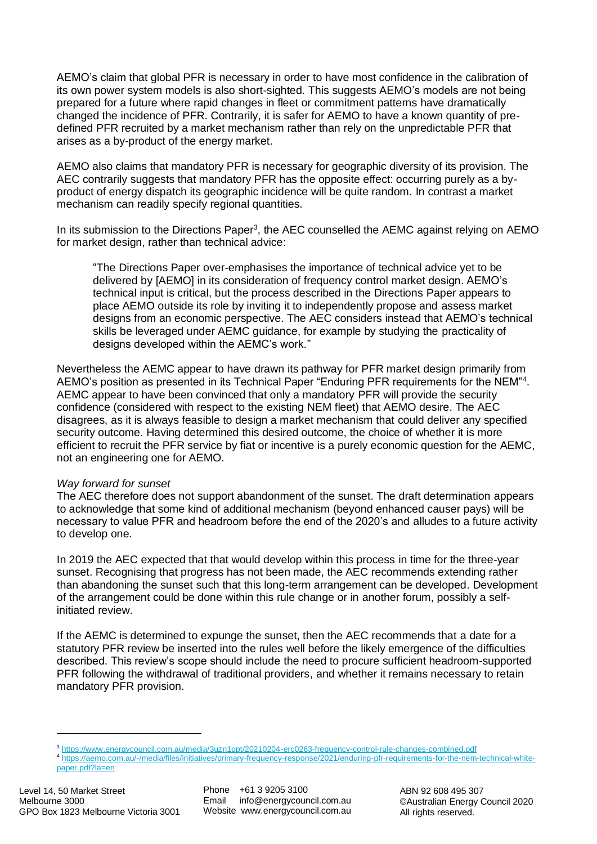AEMO's claim that global PFR is necessary in order to have most confidence in the calibration of its own power system models is also short-sighted. This suggests AEMO's models are not being prepared for a future where rapid changes in fleet or commitment patterns have dramatically changed the incidence of PFR. Contrarily, it is safer for AEMO to have a known quantity of predefined PFR recruited by a market mechanism rather than rely on the unpredictable PFR that arises as a by-product of the energy market.

AEMO also claims that mandatory PFR is necessary for geographic diversity of its provision. The AEC contrarily suggests that mandatory PFR has the opposite effect: occurring purely as a byproduct of energy dispatch its geographic incidence will be quite random. In contrast a market mechanism can readily specify regional quantities.

In its submission to the Directions Paper<sup>3</sup>, the AEC counselled the AEMC against relying on AEMO for market design, rather than technical advice:

"The Directions Paper over-emphasises the importance of technical advice yet to be delivered by [AEMO] in its consideration of frequency control market design. AEMO's technical input is critical, but the process described in the Directions Paper appears to place AEMO outside its role by inviting it to independently propose and assess market designs from an economic perspective. The AEC considers instead that AEMO's technical skills be leveraged under AEMC guidance, for example by studying the practicality of designs developed within the AEMC's work."

Nevertheless the AEMC appear to have drawn its pathway for PFR market design primarily from AEMO's position as presented in its Technical Paper "Enduring PFR requirements for the NEM"<sup>4</sup>. AEMC appear to have been convinced that only a mandatory PFR will provide the security confidence (considered with respect to the existing NEM fleet) that AEMO desire. The AEC disagrees, as it is always feasible to design a market mechanism that could deliver any specified security outcome. Having determined this desired outcome, the choice of whether it is more efficient to recruit the PFR service by fiat or incentive is a purely economic question for the AEMC, not an engineering one for AEMO.

### *Way forward for sunset*

The AEC therefore does not support abandonment of the sunset. The draft determination appears to acknowledge that some kind of additional mechanism (beyond enhanced causer pays) will be necessary to value PFR and headroom before the end of the 2020's and alludes to a future activity to develop one.

In 2019 the AEC expected that that would develop within this process in time for the three-year sunset. Recognising that progress has not been made, the AEC recommends extending rather than abandoning the sunset such that this long-term arrangement can be developed. Development of the arrangement could be done within this rule change or in another forum, possibly a selfinitiated review.

If the AEMC is determined to expunge the sunset, then the AEC recommends that a date for a statutory PFR review be inserted into the rules well before the likely emergence of the difficulties described. This review's scope should include the need to procure sufficient headroom-supported PFR following the withdrawal of traditional providers, and whether it remains necessary to retain mandatory PFR provision.

<sup>&</sup>lt;sup>3</sup> https://www.energycouncil.com.au/media/3uzn1gpt/20210204-erc0263-frequency-control-rule-changes-combined.pdf

<sup>4</sup> [https://aemo.com.au/-/media/files/initiatives/primary-frequency-response/2021/enduring-pfr-requirements-for-the-nem-technical-white](https://aemo.com.au/-/media/files/initiatives/primary-frequency-response/2021/enduring-pfr-requirements-for-the-nem-technical-white-paper.pdf?la=en)[paper.pdf?la=en](https://aemo.com.au/-/media/files/initiatives/primary-frequency-response/2021/enduring-pfr-requirements-for-the-nem-technical-white-paper.pdf?la=en)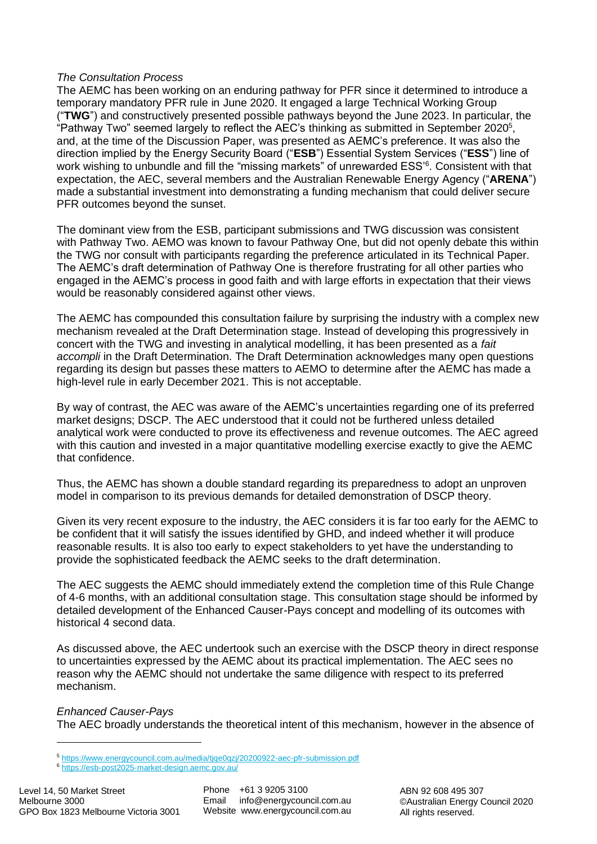### *The Consultation Process*

The AEMC has been working on an enduring pathway for PFR since it determined to introduce a temporary mandatory PFR rule in June 2020. It engaged a large Technical Working Group ("**TWG**") and constructively presented possible pathways beyond the June 2023. In particular, the "Pathway Two" seemed largely to reflect the AEC's thinking as submitted in September 2020<sup>5</sup>, and, at the time of the Discussion Paper, was presented as AEMC's preference. It was also the direction implied by the Energy Security Board ("**ESB**") Essential System Services ("**ESS**") line of work wishing to unbundle and fill the "missing markets" of unrewarded ESS'<sup>6</sup>. Consistent with that expectation, the AEC, several members and the Australian Renewable Energy Agency ("**ARENA**") made a substantial investment into demonstrating a funding mechanism that could deliver secure PFR outcomes beyond the sunset.

The dominant view from the ESB, participant submissions and TWG discussion was consistent with Pathway Two. AEMO was known to favour Pathway One, but did not openly debate this within the TWG nor consult with participants regarding the preference articulated in its Technical Paper. The AEMC's draft determination of Pathway One is therefore frustrating for all other parties who engaged in the AEMC's process in good faith and with large efforts in expectation that their views would be reasonably considered against other views.

The AEMC has compounded this consultation failure by surprising the industry with a complex new mechanism revealed at the Draft Determination stage. Instead of developing this progressively in concert with the TWG and investing in analytical modelling, it has been presented as a *fait accompli* in the Draft Determination. The Draft Determination acknowledges many open questions regarding its design but passes these matters to AEMO to determine after the AEMC has made a high-level rule in early December 2021. This is not acceptable.

By way of contrast, the AEC was aware of the AEMC's uncertainties regarding one of its preferred market designs; DSCP. The AEC understood that it could not be furthered unless detailed analytical work were conducted to prove its effectiveness and revenue outcomes. The AEC agreed with this caution and invested in a major quantitative modelling exercise exactly to give the AEMC that confidence.

Thus, the AEMC has shown a double standard regarding its preparedness to adopt an unproven model in comparison to its previous demands for detailed demonstration of DSCP theory.

Given its very recent exposure to the industry, the AEC considers it is far too early for the AEMC to be confident that it will satisfy the issues identified by GHD, and indeed whether it will produce reasonable results. It is also too early to expect stakeholders to yet have the understanding to provide the sophisticated feedback the AEMC seeks to the draft determination.

The AEC suggests the AEMC should immediately extend the completion time of this Rule Change of 4-6 months, with an additional consultation stage. This consultation stage should be informed by detailed development of the Enhanced Causer-Pays concept and modelling of its outcomes with historical 4 second data.

As discussed above, the AEC undertook such an exercise with the DSCP theory in direct response to uncertainties expressed by the AEMC about its practical implementation. The AEC sees no reason why the AEMC should not undertake the same diligence with respect to its preferred mechanism.

*Enhanced Causer-Pays*

The AEC broadly understands the theoretical intent of this mechanism, however in the absence of

<sup>5</sup> <https://www.energycouncil.com.au/media/tjqe0qzj/20200922-aec-pfr-submission.pdf>

<sup>6</sup> <https://esb-post2025-market-design.aemc.gov.au/>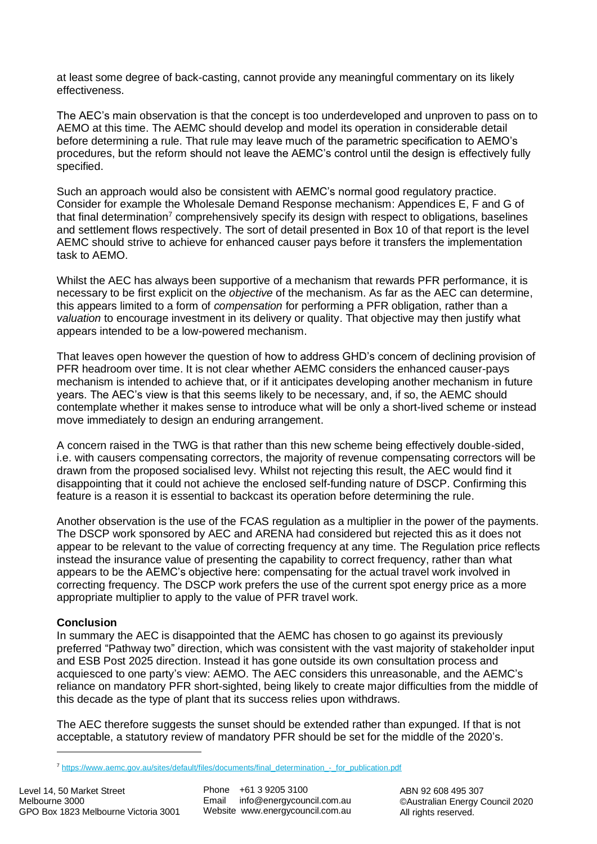at least some degree of back-casting, cannot provide any meaningful commentary on its likely effectiveness.

The AEC's main observation is that the concept is too underdeveloped and unproven to pass on to AEMO at this time. The AEMC should develop and model its operation in considerable detail before determining a rule. That rule may leave much of the parametric specification to AEMO's procedures, but the reform should not leave the AEMC's control until the design is effectively fully specified.

Such an approach would also be consistent with AEMC's normal good regulatory practice. Consider for example the Wholesale Demand Response mechanism: Appendices E, F and G of that final determination<sup>7</sup> comprehensively specify its design with respect to obligations, baselines and settlement flows respectively. The sort of detail presented in Box 10 of that report is the level AEMC should strive to achieve for enhanced causer pays before it transfers the implementation task to AEMO.

Whilst the AEC has always been supportive of a mechanism that rewards PFR performance, it is necessary to be first explicit on the *objective* of the mechanism. As far as the AEC can determine, this appears limited to a form of *compensation* for performing a PFR obligation, rather than a *valuation* to encourage investment in its delivery or quality. That objective may then justify what appears intended to be a low-powered mechanism.

That leaves open however the question of how to address GHD's concern of declining provision of PFR headroom over time. It is not clear whether AEMC considers the enhanced causer-pays mechanism is intended to achieve that, or if it anticipates developing another mechanism in future years. The AEC's view is that this seems likely to be necessary, and, if so, the AEMC should contemplate whether it makes sense to introduce what will be only a short-lived scheme or instead move immediately to design an enduring arrangement.

A concern raised in the TWG is that rather than this new scheme being effectively double-sided, i.e. with causers compensating correctors, the majority of revenue compensating correctors will be drawn from the proposed socialised levy. Whilst not rejecting this result, the AEC would find it disappointing that it could not achieve the enclosed self-funding nature of DSCP. Confirming this feature is a reason it is essential to backcast its operation before determining the rule.

Another observation is the use of the FCAS regulation as a multiplier in the power of the payments. The DSCP work sponsored by AEC and ARENA had considered but rejected this as it does not appear to be relevant to the value of correcting frequency at any time. The Regulation price reflects instead the insurance value of presenting the capability to correct frequency, rather than what appears to be the AEMC's objective here: compensating for the actual travel work involved in correcting frequency. The DSCP work prefers the use of the current spot energy price as a more appropriate multiplier to apply to the value of PFR travel work.

### **Conclusion**

In summary the AEC is disappointed that the AEMC has chosen to go against its previously preferred "Pathway two" direction, which was consistent with the vast majority of stakeholder input and ESB Post 2025 direction. Instead it has gone outside its own consultation process and acquiesced to one party's view: AEMO. The AEC considers this unreasonable, and the AEMC's reliance on mandatory PFR short-sighted, being likely to create major difficulties from the middle of this decade as the type of plant that its success relies upon withdraws.

The AEC therefore suggests the sunset should be extended rather than expunged. If that is not acceptable, a statutory review of mandatory PFR should be set for the middle of the 2020's.

<sup>7</sup> [https://www.aemc.gov.au/sites/default/files/documents/final\\_determination\\_-\\_for\\_publication.pdf](https://www.aemc.gov.au/sites/default/files/documents/final_determination_-_for_publication.pdf)